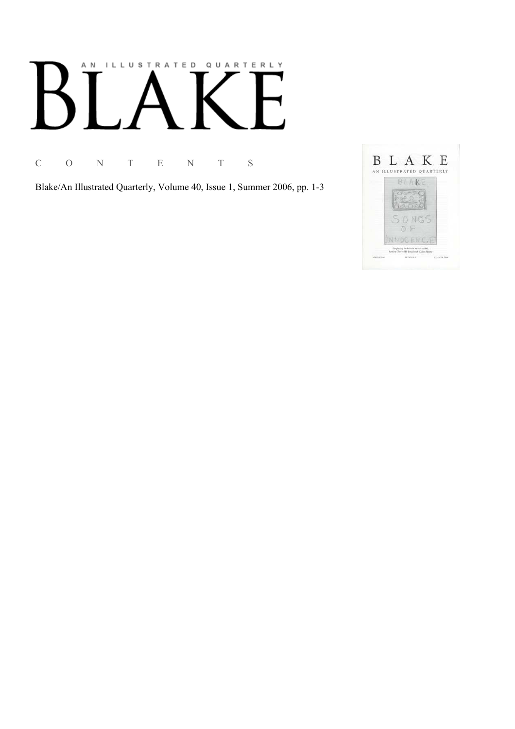# AN ILLUSTRATED QUARTERLY

C O N T E N T S

Blake/An Illustrated Quarterly, Volume 40, Issue 1, Summer 2006, pp. 1-3

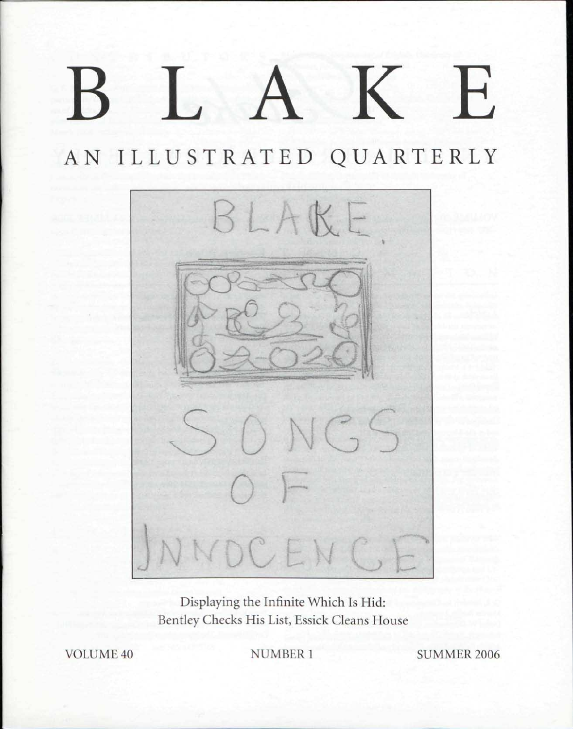## BLAK E

AN ILLUSTRATED QUARTERLY



Displaying the Infinite Which Is Hid: Bentley Checks His List, Essick Cleans House

VOLUME 40 NUMBER 1 SUMMER 2006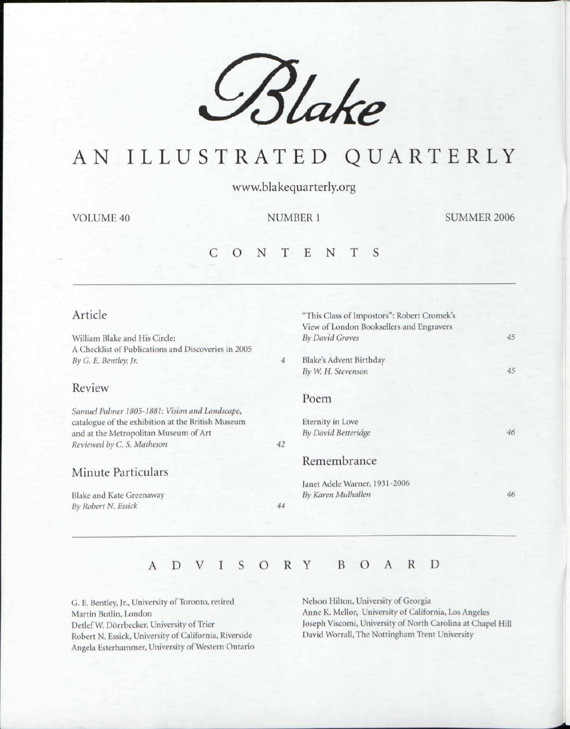

## AN ILLUSTRATED QUARTERLY

www.blakequarterly.org

VOLUME 40 NUMBER 1 SUMMER 2006

### C O N T E N T S

### Article

William Blake and His Circle: A Checklist of Publications and Discoveries in 2005 *By G. E. Bentley, jr.* 

### Review

*Samuel Palmer 1805-1881: Vision and Landscape,*  catalogue of the exhibition at the British Museum and at the Metropolitan Museum of Art *Reviewed by C. S. Matheson* 

### Minute Particulars

Blake and Kate Greenaway *By Robert N. Essick* 

## View of London Booksellers and Engravers *By David Groves*  Blake's Advent Birthday  $\overline{4}$ *By W. H. Stevenson*  Poem

"This Class of Impostors": Robert Cromek's

Eternity in Love *By David Bcttcridge* 

### Remembrance

Janet Adele Warner, 1931 -2006 *By Karen Mulballen* 

*46* 

*45* 

*45* 

*46* 

### ADVISOR Y BOAR D

*42* 

*44* 

G. E. Bentley, Jr., University of Toronto, retired Martin Butlin, London Detlef W. Dorrbecker, University of Trier Robert N. Essick, University of California, Riverside Angela Esterhammer, University of Western Ontario Nelson Hilton, University of Georgia Anne K. Mellor, University of California, Los Angeles Joseph Viscomi, University of North Carolina at Chapel Hill David Worrall, The Nottingham Trent University